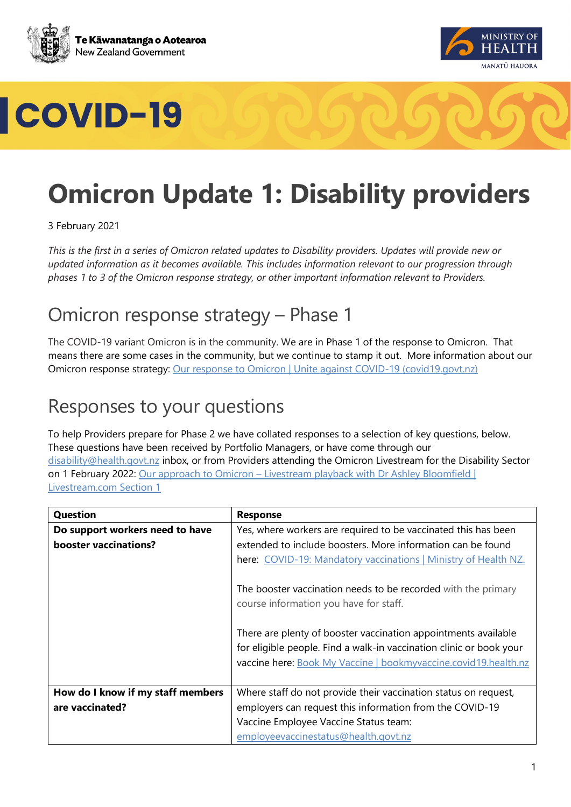





### **Omicron Update 1: Disability providers**

3 February 2021

*This is the first in a series of Omicron related updates to Disability providers. Updates will provide new or updated information as it becomes available. This includes information relevant to our progression through phases 1 to 3 of the Omicron response strategy, or other important information relevant to Providers.* 

#### Omicron response strategy – Phase 1

The COVID-19 variant Omicron is in the community. We are in Phase 1 of the response to Omicron. That means there are some cases in the community, but we continue to stamp it out. More information about our Omicron response strategy: [Our response to Omicron | Unite against COVID-19 \(covid19.govt.nz\)](https://covid19.govt.nz/prepare-and-stay-safe/about-covid-19/our-response-to-omicron/#there-will-be-3-phases)

### Responses to your questions

To help Providers prepare for Phase 2 we have collated responses to a selection of key questions, below. These questions have been received by Portfolio Managers, or have come through our [disability@health.govt.nz](mailto:disability@health.govt.nz) inbox, or from Providers attending the Omicron Livestream for the Disability Sector on 1 February 2022: Our approach to Omicron – Livestream playback with Dr Ashley Bloomfield | [Livestream.com](https://livestream.com/accounts/26834806/events/10118492/videos/229070975) Section 1

| <b>Question</b>                   | <b>Response</b>                                                                                                                                                                                          |
|-----------------------------------|----------------------------------------------------------------------------------------------------------------------------------------------------------------------------------------------------------|
| Do support workers need to have   | Yes, where workers are required to be vaccinated this has been                                                                                                                                           |
| booster vaccinations?             | extended to include boosters. More information can be found                                                                                                                                              |
|                                   | here: COVID-19: Mandatory vaccinations   Ministry of Health NZ.                                                                                                                                          |
|                                   | The booster vaccination needs to be recorded with the primary<br>course information you have for staff.                                                                                                  |
|                                   | There are plenty of booster vaccination appointments available<br>for eligible people. Find a walk-in vaccination clinic or book your<br>vaccine here: Book My Vaccine   bookmyvaccine.covid19.health.nz |
| How do I know if my staff members | Where staff do not provide their vaccination status on request,                                                                                                                                          |
| are vaccinated?                   | employers can request this information from the COVID-19                                                                                                                                                 |
|                                   | Vaccine Employee Vaccine Status team:                                                                                                                                                                    |
|                                   | employeevaccinestatus@health.govt.nz                                                                                                                                                                     |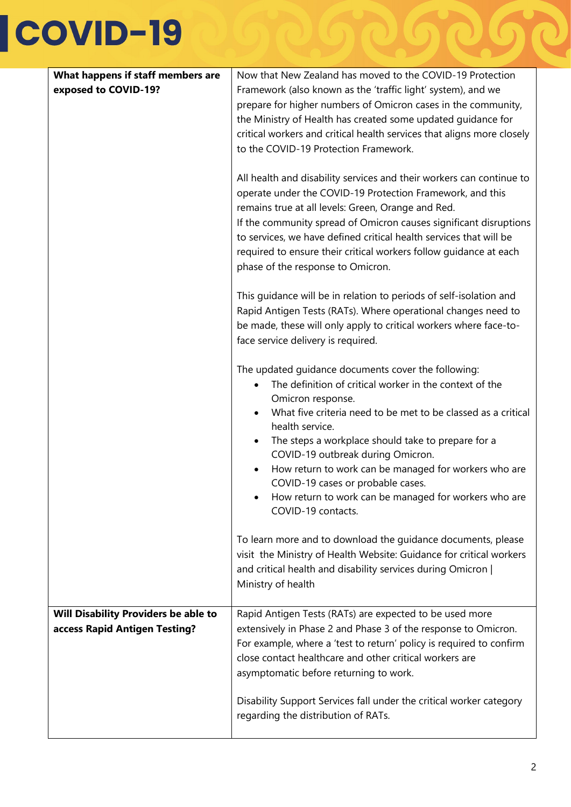# COVID-19

| What happens if staff members are                                            | Now that New Zealand has moved to the COVID-19 Protection                                                                                                                                                                                                                                                                                                                                                                                                                                                    |
|------------------------------------------------------------------------------|--------------------------------------------------------------------------------------------------------------------------------------------------------------------------------------------------------------------------------------------------------------------------------------------------------------------------------------------------------------------------------------------------------------------------------------------------------------------------------------------------------------|
| exposed to COVID-19?                                                         | Framework (also known as the 'traffic light' system), and we<br>prepare for higher numbers of Omicron cases in the community,<br>the Ministry of Health has created some updated guidance for<br>critical workers and critical health services that aligns more closely<br>to the COVID-19 Protection Framework.                                                                                                                                                                                             |
|                                                                              | All health and disability services and their workers can continue to<br>operate under the COVID-19 Protection Framework, and this<br>remains true at all levels: Green, Orange and Red.<br>If the community spread of Omicron causes significant disruptions<br>to services, we have defined critical health services that will be<br>required to ensure their critical workers follow guidance at each<br>phase of the response to Omicron.                                                                 |
|                                                                              | This guidance will be in relation to periods of self-isolation and<br>Rapid Antigen Tests (RATs). Where operational changes need to<br>be made, these will only apply to critical workers where face-to-<br>face service delivery is required.                                                                                                                                                                                                                                                               |
|                                                                              | The updated guidance documents cover the following:<br>The definition of critical worker in the context of the<br>Omicron response.<br>What five criteria need to be met to be classed as a critical<br>health service.<br>The steps a workplace should take to prepare for a<br>$\bullet$<br>COVID-19 outbreak during Omicron.<br>How return to work can be managed for workers who are<br>COVID-19 cases or probable cases.<br>How return to work can be managed for workers who are<br>COVID-19 contacts. |
|                                                                              | To learn more and to download the guidance documents, please<br>visit the Ministry of Health Website: Guidance for critical workers<br>and critical health and disability services during Omicron  <br>Ministry of health                                                                                                                                                                                                                                                                                    |
| <b>Will Disability Providers be able to</b><br>access Rapid Antigen Testing? | Rapid Antigen Tests (RATs) are expected to be used more<br>extensively in Phase 2 and Phase 3 of the response to Omicron.<br>For example, where a 'test to return' policy is required to confirm<br>close contact healthcare and other critical workers are<br>asymptomatic before returning to work.                                                                                                                                                                                                        |
|                                                                              | Disability Support Services fall under the critical worker category<br>regarding the distribution of RATs.                                                                                                                                                                                                                                                                                                                                                                                                   |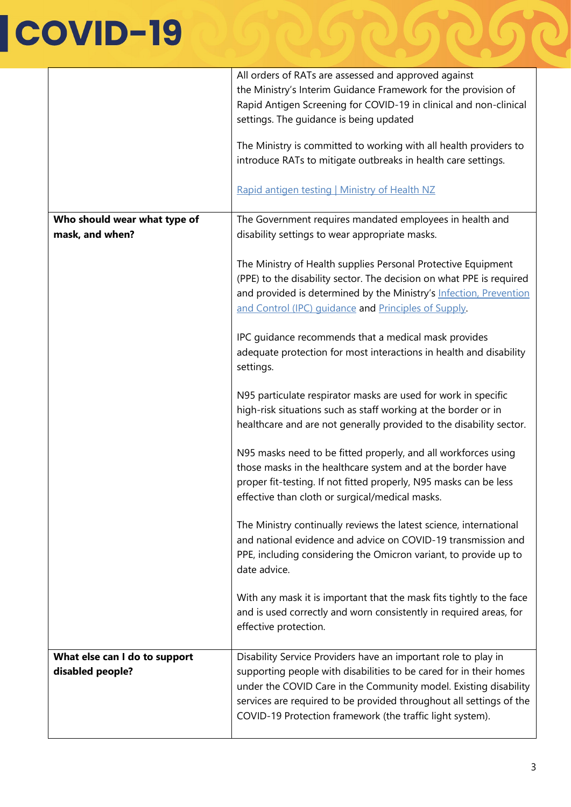# COVID-19

|                                                   | All orders of RATs are assessed and approved against<br>the Ministry's Interim Guidance Framework for the provision of<br>Rapid Antigen Screening for COVID-19 in clinical and non-clinical<br>settings. The guidance is being updated<br>The Ministry is committed to working with all health providers to<br>introduce RATs to mitigate outbreaks in health care settings.<br>Rapid antigen testing   Ministry of Health NZ |
|---------------------------------------------------|-------------------------------------------------------------------------------------------------------------------------------------------------------------------------------------------------------------------------------------------------------------------------------------------------------------------------------------------------------------------------------------------------------------------------------|
| Who should wear what type of<br>mask, and when?   | The Government requires mandated employees in health and<br>disability settings to wear appropriate masks.                                                                                                                                                                                                                                                                                                                    |
|                                                   | The Ministry of Health supplies Personal Protective Equipment<br>(PPE) to the disability sector. The decision on what PPE is required<br>and provided is determined by the Ministry's Infection, Prevention<br>and Control (IPC) guidance and Principles of Supply.                                                                                                                                                           |
|                                                   | IPC guidance recommends that a medical mask provides<br>adequate protection for most interactions in health and disability<br>settings.                                                                                                                                                                                                                                                                                       |
|                                                   | N95 particulate respirator masks are used for work in specific<br>high-risk situations such as staff working at the border or in<br>healthcare and are not generally provided to the disability sector.                                                                                                                                                                                                                       |
|                                                   | N95 masks need to be fitted properly, and all workforces using<br>those masks in the healthcare system and at the border have<br>proper fit-testing. If not fitted properly, N95 masks can be less<br>effective than cloth or surgical/medical masks.                                                                                                                                                                         |
|                                                   | The Ministry continually reviews the latest science, international<br>and national evidence and advice on COVID-19 transmission and<br>PPE, including considering the Omicron variant, to provide up to<br>date advice.                                                                                                                                                                                                       |
|                                                   | With any mask it is important that the mask fits tightly to the face<br>and is used correctly and worn consistently in required areas, for<br>effective protection.                                                                                                                                                                                                                                                           |
| What else can I do to support<br>disabled people? | Disability Service Providers have an important role to play in<br>supporting people with disabilities to be cared for in their homes<br>under the COVID Care in the Community model. Existing disability<br>services are required to be provided throughout all settings of the<br>COVID-19 Protection framework (the traffic light system).                                                                                  |